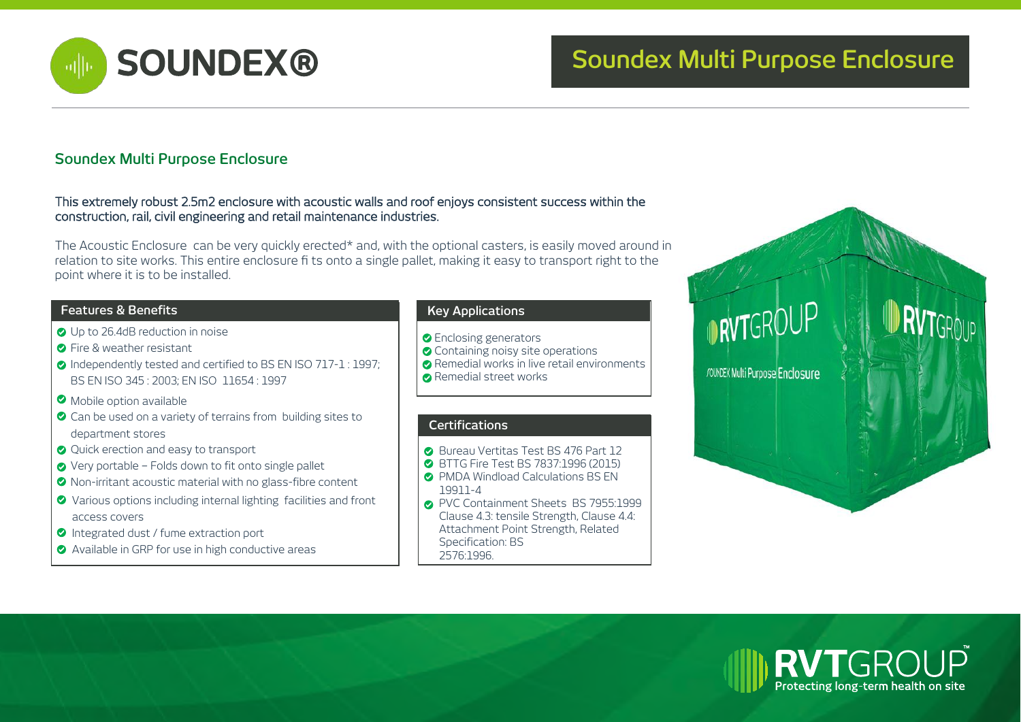

# **SOUNDEX® Soundex Multi Purpose Enclosure**

### **Soundex Multi Purpose Enclosure**

### This extremely robust 2.5m2 enclosure with acoustic walls and roof enjoys consistent success within the construction, rail, civil engineering and retail maintenance industries.

The Acoustic Enclosure can be very quickly erected\* and, with the optional casters, is easily moved around in relation to site works. This entire enclosure fi ts onto a single pallet, making it easy to transport right to the point where it is to be installed.

### **Features & Benefits Key Applications**

- O Up to 26.4dB reduction in noise
- **O** Fire & weather resistant
- $\bullet$  Independently tested and certified to BS EN ISO 717-1 : 1997; BS EN ISO 345 : 2003; EN ISO 11654 : 1997
- **O** Mobile option available
- Can be used on a variety of terrains from building sites to department stores
- O Ouick erection and easy to transport
- Very portable Folds down to fit onto single pallet
- Non-irritant acoustic material with no glass-fibre content
- Various options including internal lighting facilities and front access covers
- Integrated dust / fume extraction port
- Available in GRP for use in high conductive areas

- **O** Enclosing generators
- **O** Containing noisy site operations
- Remedial works in live retail environments
- **Remedial street works**

### **Certifications**

- **Bureau Vertitas Test BS 476 Part 12**
- BTTG Fire Test BS 7837:1996 (2015)
- **O** PMDA Windload Calculations BS FN 19911-4
- PVC Containment Sheets BS 7955:1999 Clause 4.3: tensile Strength, Clause 4.4: Attachment Point Strength, Related Specification: BS 2576:1996.

# **INTEROUP** JOUNDEX Multi Purpose Enclosure

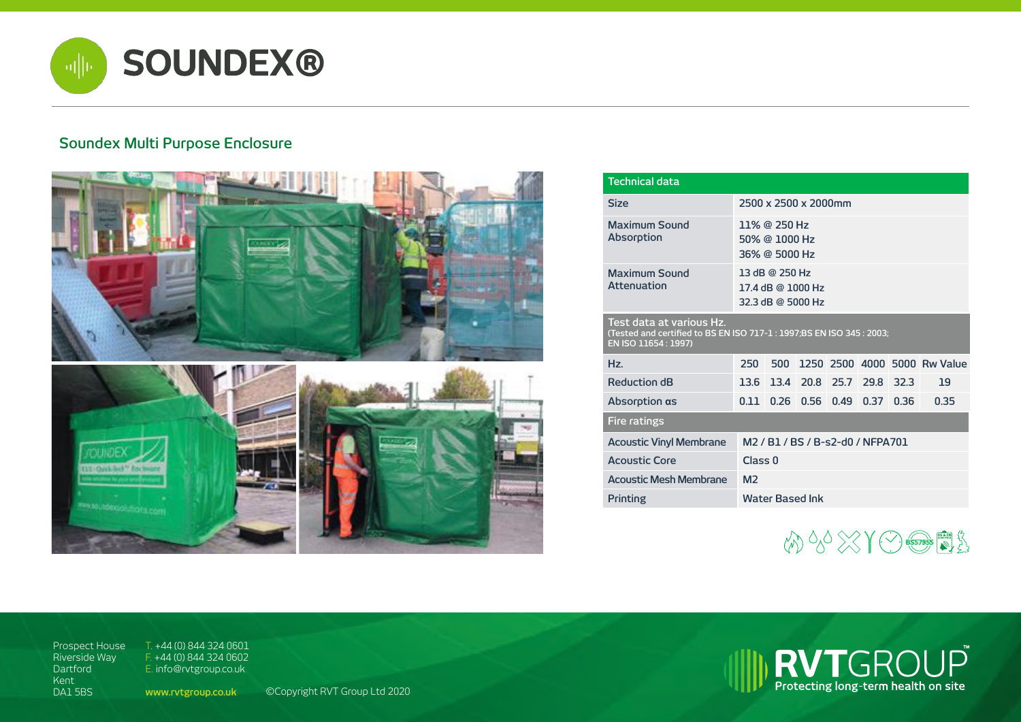

## **Soundex Multi Purpose Enclosure**



| <b>Technical data</b>                                                                                                     |                                                                                               |      |                               |  |                      |      |                              |  |
|---------------------------------------------------------------------------------------------------------------------------|-----------------------------------------------------------------------------------------------|------|-------------------------------|--|----------------------|------|------------------------------|--|
| <b>Size</b>                                                                                                               | 2500 x 2500 x 2000mm                                                                          |      |                               |  |                      |      |                              |  |
| Maximum Sound<br>Absorption                                                                                               | 11% @ 250 Hz<br>$50\%$ @ 1000 Hz<br>36% @ 5000 Hz                                             |      |                               |  |                      |      |                              |  |
| <b>Maximum Sound</b><br><b>Attenuation</b>                                                                                | 13 dB @ 250 Hz<br>17.4 dB @ 1000 Hz<br>32.3 dB @ 5000 Hz                                      |      |                               |  |                      |      |                              |  |
| Test data at various Hz.<br>(Tested and certified to BS EN ISO 717-1 : 1997;BS EN ISO 345 : 2003;<br>EN ISO 11654 : 1997) |                                                                                               |      |                               |  |                      |      |                              |  |
| Hz.                                                                                                                       | 250                                                                                           | 500  |                               |  |                      |      | 1250 2500 4000 5000 Rw Value |  |
| <b>Reduction dB</b>                                                                                                       |                                                                                               |      | 13.6 13.4 20.8 25.7 29.8 32.3 |  |                      |      | 19                           |  |
| Absorption $\alpha s$                                                                                                     | 0.11                                                                                          | 0.26 |                               |  | $0.56$ $0.49$ $0.37$ | 0.36 | 0.35                         |  |
| <b>Fire ratings</b>                                                                                                       |                                                                                               |      |                               |  |                      |      |                              |  |
| <b>Acoustic Vinyl Membrane</b>                                                                                            | M <sub>2</sub> / B <sub>1</sub> / B <sub>5</sub> / B-s <sub>2</sub> -d <sub>0</sub> / NFPA701 |      |                               |  |                      |      |                              |  |
| <b>Acoustic Core</b>                                                                                                      | Class <sub>0</sub>                                                                            |      |                               |  |                      |      |                              |  |
| Acoustic Mesh Membrane                                                                                                    | M <sub>2</sub>                                                                                |      |                               |  |                      |      |                              |  |
| Printing                                                                                                                  | <b>Water Based Ink</b>                                                                        |      |                               |  |                      |      |                              |  |



Prospect House Riverside Way Dartford Kent DA1 5BS

T. +44 (0) 844 324 0601 F. +44 (0) 844 324 0602 E. info@rvtgroup.co.uk

**www.rvtgroup.co.uk** ©Copyright RVT Group Ltd 2020